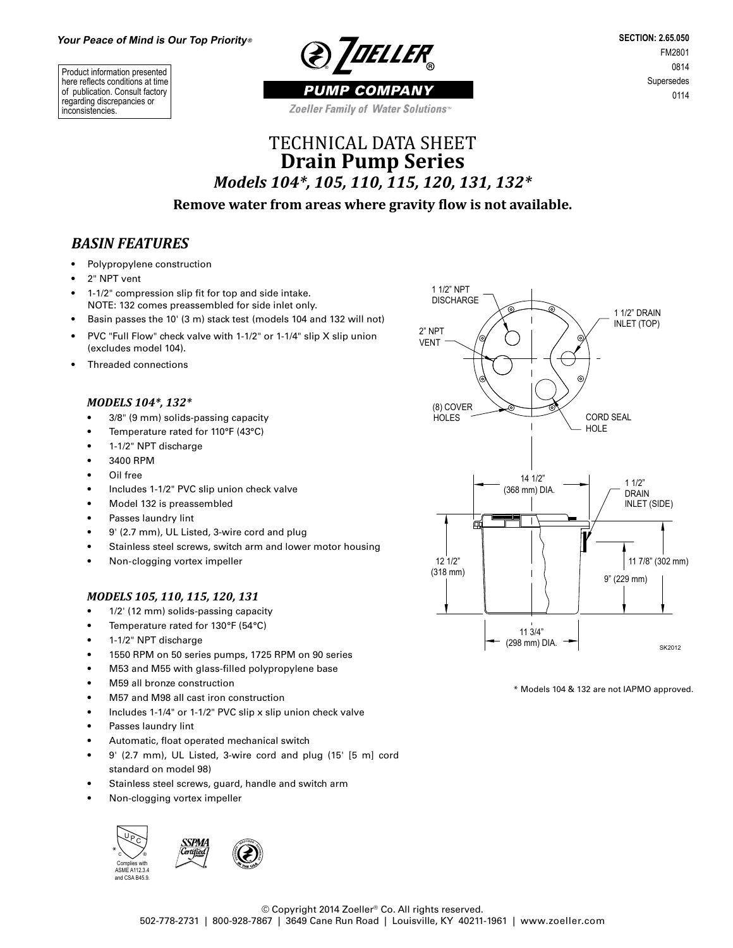**@ IDELLER** 

Product information presented here reflects conditions at time of publication. Consult factory regarding discrepancies or inconsistencies.

**SECTION: 2.65.050** FM2801 0814 Supersedes 0114

PUMP COMPANY Zoeller Family of Water Solutions<sup>®</sup>

# TECHNICAL DATA SHEET **Drain Pump Series** *Models 104\*, 105, 110, 115, 120, 131, 132\**

### **Remove water from areas where gravity flow is not available.**

### *BASIN FEATURES*

- Polypropylene construction
- 2" NPT vent
- 1-1/2" compression slip fit for top and side intake. NOTE: 132 comes preassembled for side inlet only.
- Basin passes the 10' (3 m) stack test (models 104 and 132 will not)
- PVC "Full Flow" check valve with 1-1/2" or 1-1/4" slip X slip union (excludes model 104).
- Threaded connections

#### *MODELS 104\*, 132\**

- 3/8" (9 mm) solids-passing capacity
- Temperature rated for 110°F (43°C)
- 1-1/2" NPT discharge
- 3400 RPM
- Oil free
- Includes 1-1/2" PVC slip union check valve
- Model 132 is preassembled
- Passes laundry lint
- 9' (2.7 mm), UL Listed, 3-wire cord and plug
- Stainless steel screws, switch arm and lower motor housing
- Non-clogging vortex impeller

#### *MODELS 105, 110, 115, 120, 131*

- 1/2' (12 mm) solids-passing capacity
- Temperature rated for 130°F (54°C)
- 1-1/2" NPT discharge
- 1550 RPM on 50 series pumps, 1725 RPM on 90 series
- M53 and M55 with glass-filled polypropylene base
- M59 all bronze construction
- M57 and M98 all cast iron construction
- Includes 1-1/4" or 1-1/2" PVC slip x slip union check valve
- Passes laundry lint
- Automatic, float operated mechanical switch
- 9' (2.7 mm), UL Listed, 3-wire cord and plug (15' [5 m] cord standard on model 98)
- Stainless steel screws, guard, handle and switch arm
- Non-clogging vortex impeller





\* Models 104 & 132 are not IAPMO approved.